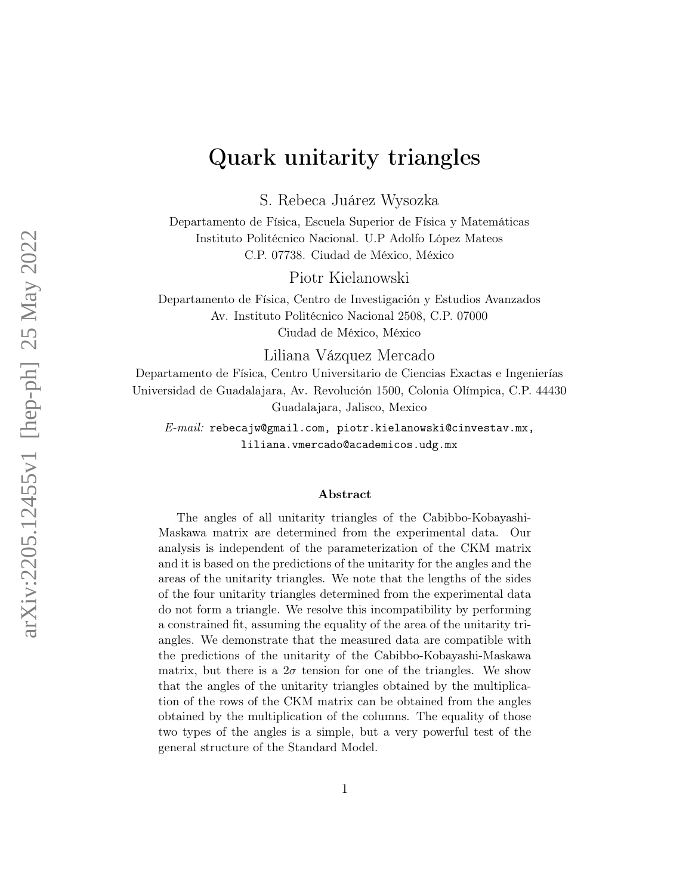# Quark unitarity triangles

S. Rebeca Juárez Wysozka

Departamento de Física, Escuela Superior de Física y Matemáticas Instituto Politécnico Nacional. U.P Adolfo López Mateos C.P. 07738. Ciudad de México, México

Piotr Kielanowski

Departamento de Física, Centro de Investigación y Estudios Avanzados Av. Instituto Politécnico Nacional 2508, C.P. 07000 Ciudad de México, México

Liliana Vázquez Mercado

Departamento de Física, Centro Universitario de Ciencias Exactas e Ingenierías Universidad de Guadalajara, Av. Revolución 1500, Colonia Olímpica, C.P. 44430 Guadalajara, Jalisco, Mexico

E-mail: rebecajw@gmail.com, piotr.kielanowski@cinvestav.mx, liliana.vmercado@academicos.udg.mx

#### Abstract

The angles of all unitarity triangles of the Cabibbo-Kobayashi-Maskawa matrix are determined from the experimental data. Our analysis is independent of the parameterization of the CKM matrix and it is based on the predictions of the unitarity for the angles and the areas of the unitarity triangles. We note that the lengths of the sides of the four unitarity triangles determined from the experimental data do not form a triangle. We resolve this incompatibility by performing a constrained fit, assuming the equality of the area of the unitarity triangles. We demonstrate that the measured data are compatible with the predictions of the unitarity of the Cabibbo-Kobayashi-Maskawa matrix, but there is a  $2\sigma$  tension for one of the triangles. We show that the angles of the unitarity triangles obtained by the multiplication of the rows of the CKM matrix can be obtained from the angles obtained by the multiplication of the columns. The equality of those two types of the angles is a simple, but a very powerful test of the general structure of the Standard Model.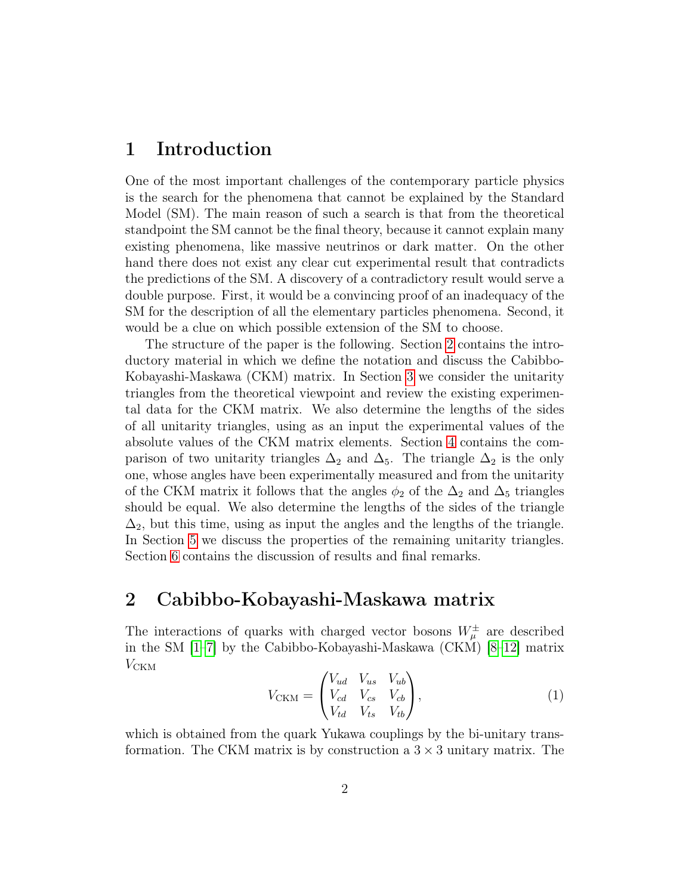### 1 Introduction

One of the most important challenges of the contemporary particle physics is the search for the phenomena that cannot be explained by the Standard Model (SM). The main reason of such a search is that from the theoretical standpoint the SM cannot be the final theory, because it cannot explain many existing phenomena, like massive neutrinos or dark matter. On the other hand there does not exist any clear cut experimental result that contradicts the predictions of the SM. A discovery of a contradictory result would serve a double purpose. First, it would be a convincing proof of an inadequacy of the SM for the description of all the elementary particles phenomena. Second, it would be a clue on which possible extension of the SM to choose.

The structure of the paper is the following. Section [2](#page-1-0) contains the introductory material in which we define the notation and discuss the Cabibbo-Kobayashi-Maskawa (CKM) matrix. In Section [3](#page-3-0) we consider the unitarity triangles from the theoretical viewpoint and review the existing experimental data for the CKM matrix. We also determine the lengths of the sides of all unitarity triangles, using as an input the experimental values of the absolute values of the CKM matrix elements. Section [4](#page-5-0) contains the comparison of two unitarity triangles  $\Delta_2$  and  $\Delta_5$ . The triangle  $\Delta_2$  is the only one, whose angles have been experimentally measured and from the unitarity of the CKM matrix it follows that the angles  $\phi_2$  of the  $\Delta_2$  and  $\Delta_5$  triangles should be equal. We also determine the lengths of the sides of the triangle  $\Delta_2$ , but this time, using as input the angles and the lengths of the triangle. In Section [5](#page-7-0) we discuss the properties of the remaining unitarity triangles. Section [6](#page-8-0) contains the discussion of results and final remarks.

### <span id="page-1-0"></span>2 Cabibbo-Kobayashi-Maskawa matrix

The interactions of quarks with charged vector bosons  $W^{\pm}_{\mu}$  are described in the SM [\[1–](#page-11-0)[7\]](#page-12-0) by the Cabibbo-Kobayashi-Maskawa (CKM) [\[8–](#page-12-1)[12\]](#page-12-2) matrix  $V_{\text{CKM}}$ 

$$
V_{\text{CKM}} = \begin{pmatrix} V_{ud} & V_{us} & V_{ub} \\ V_{cd} & V_{cs} & V_{cb} \\ V_{td} & V_{ts} & V_{tb} \end{pmatrix},\tag{1}
$$

which is obtained from the quark Yukawa couplings by the bi-unitary transformation. The CKM matrix is by construction a  $3 \times 3$  unitary matrix. The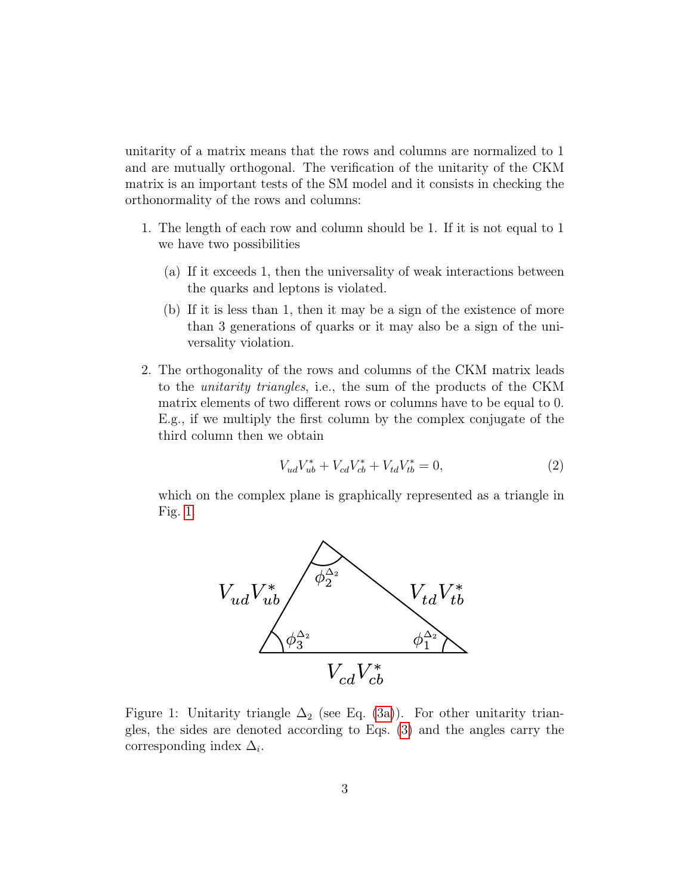unitarity of a matrix means that the rows and columns are normalized to 1 and are mutually orthogonal. The verification of the unitarity of the CKM matrix is an important tests of the SM model and it consists in checking the orthonormality of the rows and columns:

- 1. The length of each row and column should be 1. If it is not equal to 1 we have two possibilities
	- (a) If it exceeds 1, then the universality of weak interactions between the quarks and leptons is violated.
	- (b) If it is less than 1, then it may be a sign of the existence of more than 3 generations of quarks or it may also be a sign of the universality violation.
- 2. The orthogonality of the rows and columns of the CKM matrix leads to the unitarity triangles, i.e., the sum of the products of the CKM matrix elements of two different rows or columns have to be equal to 0. E.g., if we multiply the first column by the complex conjugate of the third column then we obtain

$$
V_{ud}V_{ub}^* + V_{cd}V_{cb}^* + V_{td}V_{tb}^* = 0,
$$
\n(2)

which on the complex plane is graphically represented as a triangle in Fig. [1.](#page-2-0)



<span id="page-2-0"></span>Figure 1: Unitarity triangle  $\Delta_2$  (see Eq. [\(3a\)](#page-3-1)). For other unitarity triangles, the sides are denoted according to Eqs. [\(3\)](#page-3-2) and the angles carry the corresponding index  $\Delta_i$ .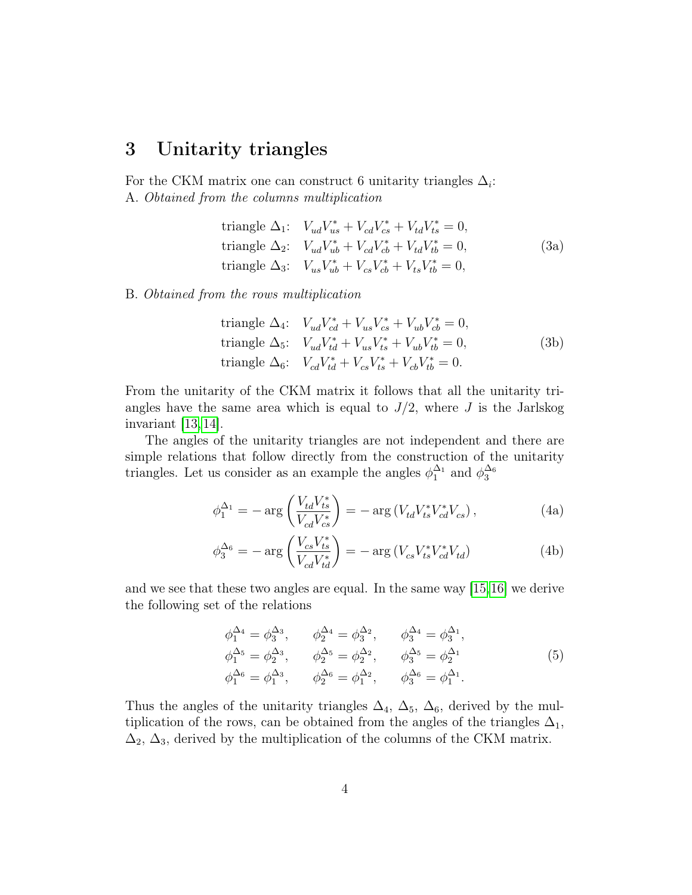### <span id="page-3-0"></span>3 Unitarity triangles

For the CKM matrix one can construct 6 unitarity triangles  $\Delta_i$ : A. Obtained from the columns multiplication

<span id="page-3-2"></span><span id="page-3-1"></span>

| triangle $\Delta_1$ : $V_{ud}V_{us}^* + V_{cd}V_{cs}^* + V_{td}V_{ts}^* = 0$ , |      |
|--------------------------------------------------------------------------------|------|
| triangle $\Delta_2$ : $V_{ud}V_{ub}^* + V_{cd}V_{cb}^* + V_{td}V_{tb}^* = 0$ , | (3a) |
| triangle $\Delta_3$ : $V_{us}V_{ub}^* + V_{cs}V_{cb}^* + V_{ts}V_{tb}^* = 0$ , |      |

B. Obtained from the rows multiplication

triangle 
$$
\Delta_4
$$
:  $V_{ud}V_{cd}^* + V_{us}V_{cs}^* + V_{ub}V_{cb}^* = 0$ ,  
triangle  $\Delta_5$ :  $V_{ud}V_{td}^* + V_{us}V_{ts}^* + V_{ub}V_{tb}^* = 0$ ,  
triangle  $\Delta_6$ :  $V_{cd}V_{td}^* + V_{cs}V_{ts}^* + V_{cb}V_{tb}^* = 0$ . (3b)

From the unitarity of the CKM matrix it follows that all the unitarity triangles have the same area which is equal to  $J/2$ , where J is the Jarlskog invariant [\[13,](#page-12-3) [14\]](#page-12-4).

The angles of the unitarity triangles are not independent and there are simple relations that follow directly from the construction of the unitarity triangles. Let us consider as an example the angles  $\phi_1^{\Delta_1}$  and  $\phi_3^{\Delta_6}$ 

$$
\phi_1^{\Delta_1} = -\arg\left(\frac{V_{td}V_{ts}^*}{V_{cd}V_{cs}^*}\right) = -\arg\left(V_{td}V_{ts}^*V_{cd}^*V_{cs}^*\right),\tag{4a}
$$

$$
\phi_3^{\Delta_6} = -\arg\left(\frac{V_{cs}V_{ts}^*}{V_{cd}V_{td}^*}\right) = -\arg\left(V_{cs}V_{ts}^*V_{cd}^*V_{td}\right) \tag{4b}
$$

and we see that these two angles are equal. In the same way [\[15,](#page-12-5)[16\]](#page-12-6) we derive the following set of the relations

<span id="page-3-3"></span>
$$
\phi_1^{\Delta_4} = \phi_3^{\Delta_3}, \qquad \phi_2^{\Delta_4} = \phi_3^{\Delta_2}, \qquad \phi_3^{\Delta_4} = \phi_3^{\Delta_1}, \n\phi_1^{\Delta_5} = \phi_2^{\Delta_3}, \qquad \phi_2^{\Delta_5} = \phi_2^{\Delta_2}, \qquad \phi_3^{\Delta_5} = \phi_2^{\Delta_1} \n\phi_1^{\Delta_6} = \phi_1^{\Delta_3}, \qquad \phi_2^{\Delta_6} = \phi_1^{\Delta_2}, \qquad \phi_3^{\Delta_6} = \phi_1^{\Delta_1}.
$$
\n(5)

Thus the angles of the unitarity triangles  $\Delta_4$ ,  $\Delta_5$ ,  $\Delta_6$ , derived by the multiplication of the rows, can be obtained from the angles of the triangles  $\Delta_1$ ,  $\Delta_2$ ,  $\Delta_3$ , derived by the multiplication of the columns of the CKM matrix.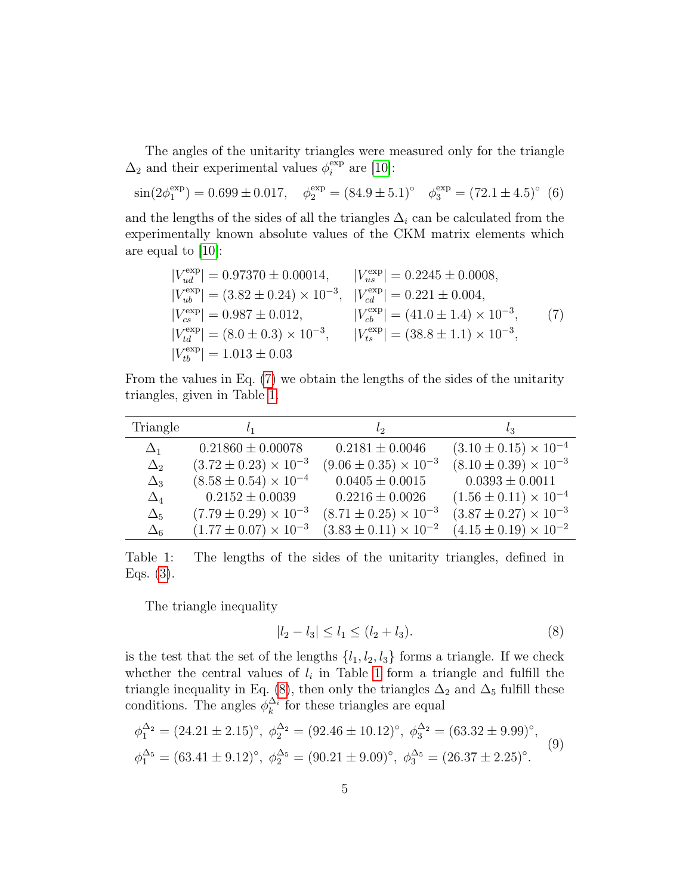The angles of the unitarity triangles were measured only for the triangle  $\Delta_2$  and their experimental values  $\phi_i^{\text{exp}}$  $_i^{\exp}$  are [\[10\]](#page-12-7):

<span id="page-4-4"></span>
$$
\sin(2\phi_1^{\exp}) = 0.699 \pm 0.017, \quad \phi_2^{\exp} = (84.9 \pm 5.1)^{\circ} \quad \phi_3^{\exp} = (72.1 \pm 4.5)^{\circ} \tag{6}
$$

and the lengths of the sides of all the triangles  $\Delta_i$  can be calculated from the experimentally known absolute values of the CKM matrix elements which are equal to [\[10\]](#page-12-7):

<span id="page-4-0"></span>
$$
|V_{ud}^{\text{exp}}| = 0.97370 \pm 0.00014, \t |V_{us}^{\text{exp}}| = 0.2245 \pm 0.0008,|V_{ub}^{\text{exp}}| = (3.82 \pm 0.24) \times 10^{-3}, \t |V_{cd}^{\text{exp}}| = 0.221 \pm 0.004,|V_{cs}^{\text{exp}}| = 0.987 \pm 0.012, \t |V_{cb}^{\text{exp}}| = (41.0 \pm 1.4) \times 10^{-3},|V_{td}^{\text{exp}}| = (8.0 \pm 0.3) \times 10^{-3}, \t |V_{ts}^{\text{exp}}| = (38.8 \pm 1.1) \times 10^{-3},|V_{tb}^{\text{exp}}| = 1.013 \pm 0.03
$$
\n(7)

From the values in Eq. [\(7\)](#page-4-0) we obtain the lengths of the sides of the unitarity triangles, given in Table [1.](#page-4-1)

| Triangle   |                                  | $l_{2}$                          | lз                               |
|------------|----------------------------------|----------------------------------|----------------------------------|
| $\Delta_1$ | $0.21860 \pm 0.00078$            | $0.2181 \pm 0.0046$              | $(3.10 \pm 0.15) \times 10^{-4}$ |
| $\Delta_2$ | $(3.72 \pm 0.23) \times 10^{-3}$ | $(9.06 \pm 0.35) \times 10^{-3}$ | $(8.10 \pm 0.39) \times 10^{-3}$ |
| $\Delta_3$ | $(8.58 \pm 0.54) \times 10^{-4}$ | $0.0405 \pm 0.0015$              | $0.0393 \pm 0.0011$              |
| $\Delta_4$ | $0.2152 \pm 0.0039$              | $0.2216 \pm 0.0026$              | $(1.56 \pm 0.11) \times 10^{-4}$ |
| $\Delta_5$ | $(7.79 \pm 0.29) \times 10^{-3}$ | $(8.71 \pm 0.25) \times 10^{-3}$ | $(3.87 \pm 0.27) \times 10^{-3}$ |
| $\Delta_6$ | $(1.77 \pm 0.07) \times 10^{-3}$ | $(3.83 \pm 0.11) \times 10^{-2}$ | $(4.15 \pm 0.19) \times 10^{-2}$ |

<span id="page-4-1"></span>Table 1: The lengths of the sides of the unitarity triangles, defined in Eqs. [\(3\)](#page-3-2).

The triangle inequality

<span id="page-4-2"></span>
$$
|l_2 - l_3| \le l_1 \le (l_2 + l_3). \tag{8}
$$

is the test that the set of the lengths  $\{l_1, l_2, l_3\}$  forms a triangle. If we check whether the central values of  $l_i$  in Table [1](#page-4-1) form a triangle and fulfill the triangle inequality in Eq. [\(8\)](#page-4-2), then only the triangles  $\Delta_2$  and  $\Delta_5$  fulfill these conditions. The angles  $\phi_k^{\Delta_i}$  for these triangles are equal

<span id="page-4-3"></span>
$$
\phi_1^{\Delta_2} = (24.21 \pm 2.15)^\circ, \ \phi_2^{\Delta_2} = (92.46 \pm 10.12)^\circ, \ \phi_3^{\Delta_2} = (63.32 \pm 9.99)^\circ, \n\phi_1^{\Delta_5} = (63.41 \pm 9.12)^\circ, \ \phi_2^{\Delta_5} = (90.21 \pm 9.09)^\circ, \ \phi_3^{\Delta_5} = (26.37 \pm 2.25)^\circ.
$$
\n(9)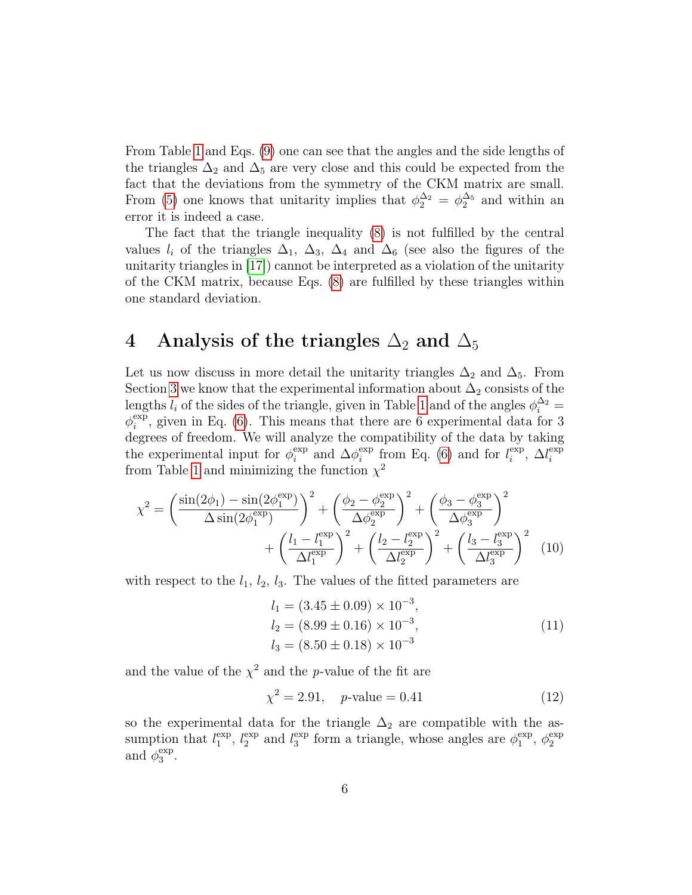From Table [1](#page-4-1) and Eqs. [\(9\)](#page-4-3) one can see that the angles and the side lengths of the triangles  $\Delta_2$  and  $\Delta_5$  are very close and this could be expected from the fact that the deviations from the symmetry of the CKM matrix are small. From [\(5\)](#page-3-3) one knows that unitarity implies that  $\phi_2^{\Delta_2} = \phi_2^{\Delta_5}$  and within an error it is indeed a case.

The fact that the triangle inequality [\(8\)](#page-4-2) is not fulfilled by the central values  $l_i$  of the triangles  $\Delta_1$ ,  $\Delta_3$ ,  $\Delta_4$  and  $\Delta_6$  (see also the figures of the unitarity triangles in [\[17\]](#page-12-8)) cannot be interpreted as a violation of the unitarity of the CKM matrix, because Eqs. [\(8\)](#page-4-2) are fulfilled by these triangles within one standard deviation.

## <span id="page-5-0"></span>4 Analysis of the triangles  $\Delta_2$  and  $\Delta_5$

Let us now discuss in more detail the unitarity triangles  $\Delta_2$  and  $\Delta_5$ . From Section [3](#page-3-0) we know that the experimental information about  $\Delta_2$  consists of the lengths  $l_i$  of the sides of the triangle, given in Table [1](#page-4-1) and of the angles  $\phi_i^{\Delta_2} =$  $\phi_i^{\text{exp}}$  $i<sup>exp</sup>$ , given in Eq. [\(6\)](#page-4-4). This means that there are 6 experimental data for 3 degrees of freedom. We will analyze the compatibility of the data by taking the experimental input for  $\phi_i^{\text{exp}}$  $i$ <sup>exp</sup> and  $\Delta\phi_i^{\rm exp}$ <sup>exp</sup> from Eq. [\(6\)](#page-4-4) and for  $l_i^{\text{exp}}$  $i$ <sup>exp</sup>,  $\Delta l_i^{\rm exp}$ i from Table [1](#page-4-1) and minimizing the function  $\chi^2$ 

$$
\chi^{2} = \left(\frac{\sin(2\phi_{1}) - \sin(2\phi_{1}^{\exp})}{\Delta \sin(2\phi_{1}^{\exp})}\right)^{2} + \left(\frac{\phi_{2} - \phi_{2}^{\exp}}{\Delta \phi_{2}^{\exp}}\right)^{2} + \left(\frac{\phi_{3} - \phi_{3}^{\exp}}{\Delta \phi_{3}^{\exp}}\right)^{2} + \left(\frac{l_{1} - l_{1}^{\exp}}{\Delta l_{1}^{\exp}}\right)^{2} + \left(\frac{l_{2} - l_{2}^{\exp}}{\Delta l_{2}^{\exp}}\right)^{2} + \left(\frac{l_{3} - l_{3}^{\exp}}{\Delta l_{3}^{\exp}}\right)^{2} \quad (10)
$$

with respect to the  $l_1$ ,  $l_2$ ,  $l_3$ . The values of the fitted parameters are

<span id="page-5-1"></span>
$$
l_1 = (3.45 \pm 0.09) \times 10^{-3},
$$
  
\n
$$
l_2 = (8.99 \pm 0.16) \times 10^{-3},
$$
  
\n
$$
l_3 = (8.50 \pm 0.18) \times 10^{-3}
$$
\n(11)

and the value of the  $\chi^2$  and the p-value of the fit are

$$
\chi^2 = 2.91, \quad p\text{-value} = 0.41 \tag{12}
$$

so the experimental data for the triangle  $\Delta_2$  are compatible with the assumption that  $l_1^{\text{exp}}$  $_1^{\exp}$ ,  $l_2^{\exp}$  $_2^{\exp}$  and  $l_3^{\exp}$  $_3^{\rm exp}$  form a triangle, whose angles are  $\phi_1^{\rm exp}$  $_1^{\exp}$ ,  $\phi_2^{\exp}$ 2 and  $\phi_3^{\text{exp}}$ 3 .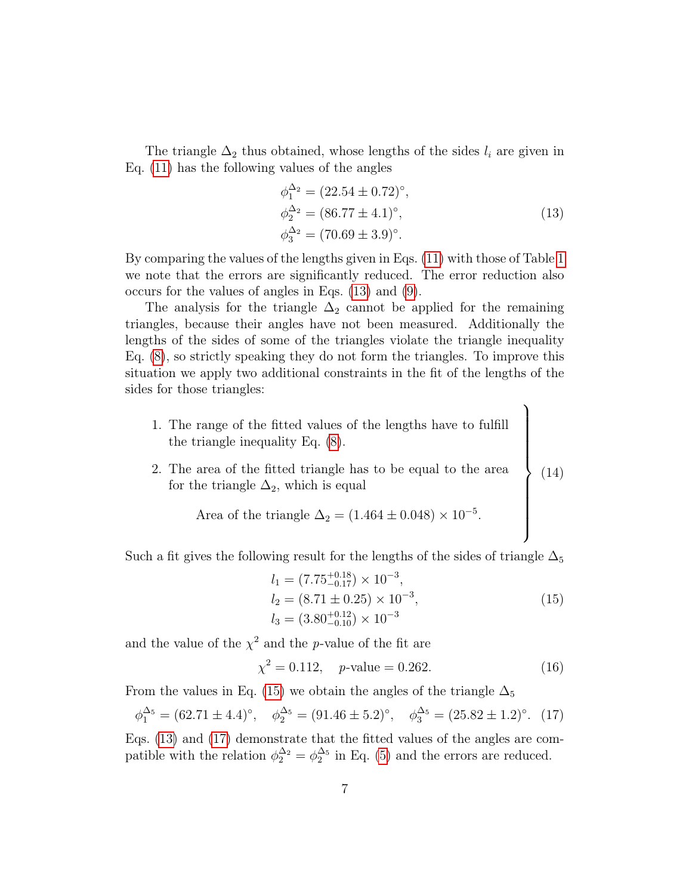The triangle  $\Delta_2$  thus obtained, whose lengths of the sides  $l_i$  are given in Eq. [\(11\)](#page-5-1) has the following values of the angles

<span id="page-6-0"></span>
$$
\phi_1^{\Delta_2} = (22.54 \pm 0.72)^{\circ}, \n\phi_2^{\Delta_2} = (86.77 \pm 4.1)^{\circ}, \n\phi_3^{\Delta_2} = (70.69 \pm 3.9)^{\circ}.
$$
\n(13)

 $\mathcal{L}$ 

By comparing the values of the lengths given in Eqs. [\(11\)](#page-5-1) with those of Table [1](#page-4-1) we note that the errors are significantly reduced. The error reduction also occurs for the values of angles in Eqs. [\(13\)](#page-6-0) and [\(9\)](#page-4-3).

The analysis for the triangle  $\Delta_2$  cannot be applied for the remaining triangles, because their angles have not been measured. Additionally the lengths of the sides of some of the triangles violate the triangle inequality Eq. [\(8\)](#page-4-2), so strictly speaking they do not form the triangles. To improve this situation we apply two additional constraints in the fit of the lengths of the sides for those triangles:

- <span id="page-6-3"></span>1. The range of the fitted values of the lengths have to fulfill the triangle inequality Eq. [\(8\)](#page-4-2).
- 2. The area of the fitted triangle has to be equal to the area for the triangle  $\Delta_2$ , which is equal  $\overline{\phantom{a}}$  $\int$ (14)

Area of the triangle 
$$
\Delta_2 = (1.464 \pm 0.048) \times 10^{-5}
$$
.

Such a fit gives the following result for the lengths of the sides of triangle  $\Delta_5$ 

<span id="page-6-1"></span>
$$
l_1 = (7.75^{+0.18}_{-0.17}) \times 10^{-3},
$$
  
\n
$$
l_2 = (8.71 \pm 0.25) \times 10^{-3},
$$
  
\n
$$
l_3 = (3.80^{+0.12}_{-0.10}) \times 10^{-3}
$$
\n(15)

and the value of the  $\chi^2$  and the p-value of the fit are

$$
\chi^2 = 0.112, \quad p\text{-value} = 0.262. \tag{16}
$$

From the values in Eq. [\(15\)](#page-6-1) we obtain the angles of the triangle  $\Delta_5$ 

<span id="page-6-2"></span>
$$
\phi_1^{\Delta_5} = (62.71 \pm 4.4)^\circ
$$
,  $\phi_2^{\Delta_5} = (91.46 \pm 5.2)^\circ$ ,  $\phi_3^{\Delta_5} = (25.82 \pm 1.2)^\circ$ . (17)

Eqs. [\(13\)](#page-6-0) and [\(17\)](#page-6-2) demonstrate that the fitted values of the angles are compatible with the relation  $\phi_2^{\Delta_2} = \phi_2^{\Delta_5}$  in Eq. [\(5\)](#page-3-3) and the errors are reduced.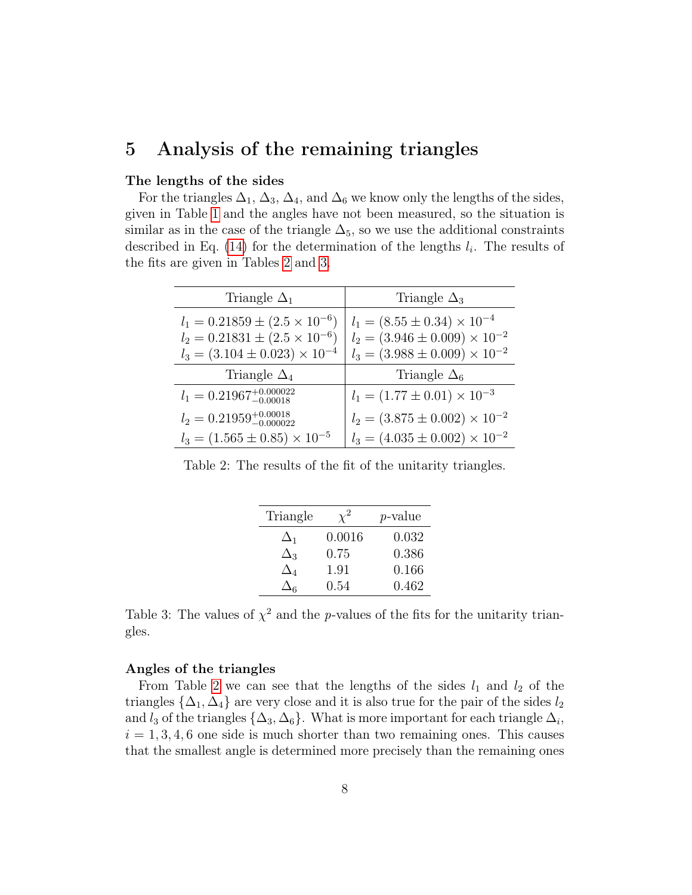### <span id="page-7-0"></span>5 Analysis of the remaining triangles

#### The lengths of the sides

For the triangles  $\Delta_1$ ,  $\Delta_3$ ,  $\Delta_4$ , and  $\Delta_6$  we know only the lengths of the sides, given in Table [1](#page-4-1) and the angles have not been measured, so the situation is similar as in the case of the triangle  $\Delta_5$ , so we use the additional constraints described in Eq.  $(14)$  for the determination of the lengths  $l_i$ . The results of the fits are given in Tables [2](#page-7-1) and [3.](#page-7-2)

| Triangle $\Delta_1$                                                                                                              | Triangle $\Delta_3$                                                                                                            |
|----------------------------------------------------------------------------------------------------------------------------------|--------------------------------------------------------------------------------------------------------------------------------|
| $l_1 = 0.21859 \pm (2.5 \times 10^{-6})$<br>$l_2 = 0.21831 \pm (2.5 \times 10^{-6})$<br>$l_3 = (3.104 \pm 0.023) \times 10^{-4}$ | $l_1 = (8.55 \pm 0.34) \times 10^{-4}$<br>$l_2 = (3.946 \pm 0.009) \times 10^{-2}$<br>$l_3 = (3.988 \pm 0.009) \times 10^{-2}$ |
| Triangle $\Delta_4$                                                                                                              | Triangle $\Delta_6$                                                                                                            |
| $l_1 = 0.21967^{+0.000022}_{-0.00018}$                                                                                           | $l_1 = (1.77 \pm 0.01) \times 10^{-3}$                                                                                         |
| $l_2 = 0.21959_{-0.000022}^{+0.00018}$                                                                                           | $l_2 = (3.875 \pm 0.002) \times 10^{-2}$                                                                                       |
| $l_3 = (1.565 \pm 0.85) \times 10^{-5}$                                                                                          | $l_3 = (4.035 \pm 0.002) \times 10^{-2}$                                                                                       |

<span id="page-7-1"></span>Table 2: The results of the fit of the unitarity triangles.

| Triangle   |        | <i>p</i> -value |
|------------|--------|-----------------|
| $\Delta_1$ | 0.0016 | 0.032           |
| $\Delta_3$ | 0.75   | 0.386           |
| $\Delta_4$ | 1.91   | 0.166           |
| $\Delta$ 6 | 0.54   | 0.462           |

<span id="page-7-2"></span>Table 3: The values of  $\chi^2$  and the p-values of the fits for the unitarity triangles.

#### Angles of the triangles

From Table [2](#page-7-1) we can see that the lengths of the sides  $l_1$  and  $l_2$  of the triangles  $\{\Delta_1, \Delta_4\}$  are very close and it is also true for the pair of the sides  $l_2$ and  $l_3$  of the triangles  $\{\Delta_3, \Delta_6\}$ . What is more important for each triangle  $\Delta_i$ ,  $i = 1, 3, 4, 6$  one side is much shorter than two remaining ones. This causes that the smallest angle is determined more precisely than the remaining ones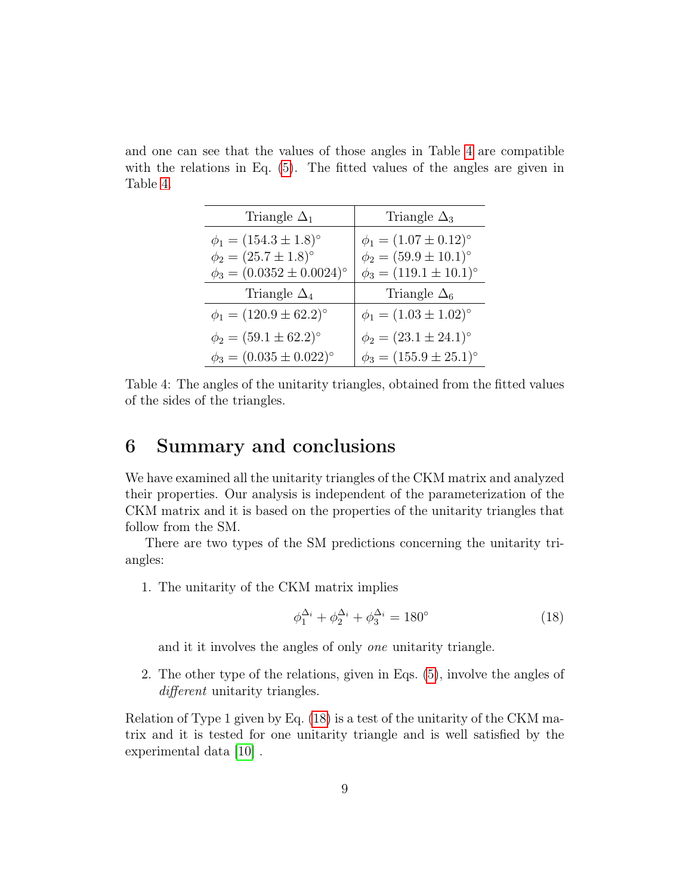and one can see that the values of those angles in Table [4](#page-8-1) are compatible with the relations in Eq. [\(5\)](#page-3-3). The fitted values of the angles are given in Table [4.](#page-8-1)

| Triangle $\Delta_1$                    | Triangle $\Delta_3$           |
|----------------------------------------|-------------------------------|
| $\phi_1 = (154.3 \pm 1.8)$ °           | $\phi_1 = (1.07 \pm 0.12)$ °  |
| $\phi_2 = (25.7 \pm 1.8)$ <sup>o</sup> | $\phi_2 = (59.9 \pm 10.1)$ °  |
| $\phi_3 = (0.0352 \pm 0.0024)$ °       | $\phi_3 = (119.1 \pm 10.1)$ ° |
|                                        |                               |
| Triangle $\Delta_4$                    | Triangle $\Delta_6$           |
| $\phi_1 = (120.9 \pm 62.2)$ °          | $\phi_1 = (1.03 \pm 1.02)$ °  |
| $\phi_2 = (59.1 \pm 62.2)$ °           | $\phi_2 = (23.1 \pm 24.1)$ °  |

<span id="page-8-1"></span>Table 4: The angles of the unitarity triangles, obtained from the fitted values of the sides of the triangles.

### <span id="page-8-0"></span>6 Summary and conclusions

We have examined all the unitarity triangles of the CKM matrix and analyzed their properties. Our analysis is independent of the parameterization of the CKM matrix and it is based on the properties of the unitarity triangles that follow from the SM.

There are two types of the SM predictions concerning the unitarity triangles:

1. The unitarity of the CKM matrix implies

<span id="page-8-2"></span>
$$
\phi_1^{\Delta_i} + \phi_2^{\Delta_i} + \phi_3^{\Delta_i} = 180^\circ \tag{18}
$$

and it it involves the angles of only one unitarity triangle.

2. The other type of the relations, given in Eqs. [\(5\)](#page-3-3), involve the angles of different unitarity triangles.

Relation of Type 1 given by Eq. [\(18\)](#page-8-2) is a test of the unitarity of the CKM matrix and it is tested for one unitarity triangle and is well satisfied by the experimental data [\[10\]](#page-12-7) .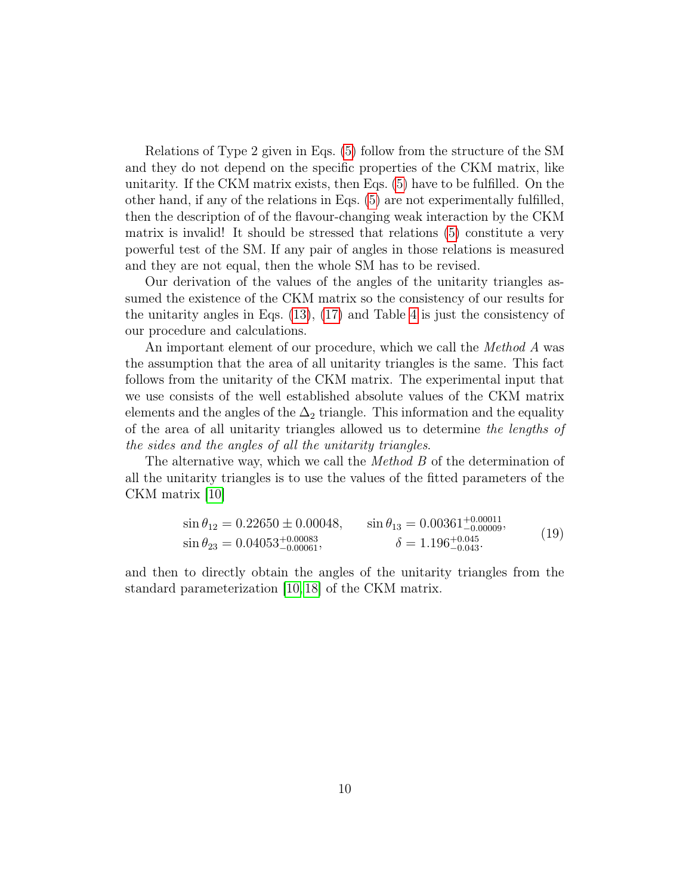Relations of Type 2 given in Eqs. [\(5\)](#page-3-3) follow from the structure of the SM and they do not depend on the specific properties of the CKM matrix, like unitarity. If the CKM matrix exists, then Eqs. [\(5\)](#page-3-3) have to be fulfilled. On the other hand, if any of the relations in Eqs. [\(5\)](#page-3-3) are not experimentally fulfilled, then the description of of the flavour-changing weak interaction by the CKM matrix is invalid! It should be stressed that relations [\(5\)](#page-3-3) constitute a very powerful test of the SM. If any pair of angles in those relations is measured and they are not equal, then the whole SM has to be revised.

Our derivation of the values of the angles of the unitarity triangles assumed the existence of the CKM matrix so the consistency of our results for the unitarity angles in Eqs. [\(13\)](#page-6-0), [\(17\)](#page-6-2) and Table [4](#page-8-1) is just the consistency of our procedure and calculations.

An important element of our procedure, which we call the *Method A* was the assumption that the area of all unitarity triangles is the same. This fact follows from the unitarity of the CKM matrix. The experimental input that we use consists of the well established absolute values of the CKM matrix elements and the angles of the  $\Delta_2$  triangle. This information and the equality of the area of all unitarity triangles allowed us to determine the lengths of the sides and the angles of all the unitarity triangles.

The alternative way, which we call the *Method B* of the determination of all the unitarity triangles is to use the values of the fitted parameters of the CKM matrix [\[10\]](#page-12-7)

$$
\sin \theta_{12} = 0.22650 \pm 0.00048, \qquad \sin \theta_{13} = 0.00361^{+0.00011}_{-0.00009},
$$
  
\n
$$
\sin \theta_{23} = 0.04053^{+0.00083}_{-0.00061}, \qquad \delta = 1.196^{+0.045}_{-0.043}.
$$
 (19)

and then to directly obtain the angles of the unitarity triangles from the standard parameterization [\[10,](#page-12-7) [18\]](#page-13-0) of the CKM matrix.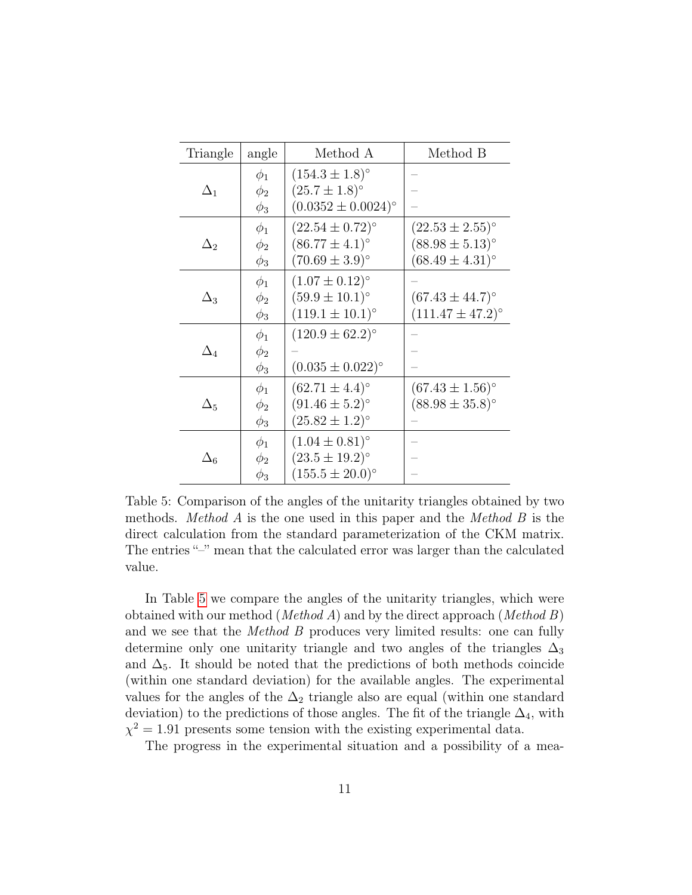| Triangle   | angle                            | Method A                                                                      | Method B                                                                   |
|------------|----------------------------------|-------------------------------------------------------------------------------|----------------------------------------------------------------------------|
| $\Delta_1$ | $\phi_1$<br>$\phi_2$<br>$\phi_3$ | $(154.3 \pm 1.8)$ °<br>$(25.7 \pm 1.8)^{\circ}$<br>$(0.0352 \pm 0.0024)$ °    |                                                                            |
| $\Delta_2$ | $\phi_1$<br>$\phi_2$<br>$\phi_3$ | $(22.54 \pm 0.72)$ °<br>$(86.77 \pm 4.1)$ °<br>$(70.69 \pm 3.9)$ °            | $(22.53 \pm 2.55)$ °<br>$(88.98 \pm 5.13)^{\circ}$<br>$(68.49 \pm 4.31)$ ° |
| $\Delta_3$ | $\phi_1$<br>$\phi_2$<br>$\phi_3$ | $(1.07 \pm 0.12)^{\circ}$<br>$(59.9 \pm 10.1)$ °<br>$(119.1 \pm 10.1)$ °      | $(67.43 \pm 44.7)$ °<br>$(111.47 \pm 47.2)$ °                              |
| $\Delta_4$ | $\phi_1$<br>$\phi_2$<br>$\phi_3$ | $(120.9 \pm 62.2)^{\circ}$<br>$(0.035 \pm 0.022)$ °                           |                                                                            |
| $\Delta_5$ | $\phi_1$<br>$\phi_2$<br>$\phi_3$ | $(62.71 \pm 4.4)$ °<br>$(91.46 \pm 5.2)^{\circ}$<br>$(25.82 \pm 1.2)^{\circ}$ | $(67.43 \pm 1.56)$ °<br>$(88.98 \pm 35.8)$ °                               |
| $\Delta_6$ | $\phi_1$<br>$\phi_2$<br>$\phi_3$ | $(1.04 \pm 0.81)$ °<br>$(23.5 \pm 19.2)^{\circ}$<br>$(155.5 \pm 20.0)$ °      |                                                                            |

<span id="page-10-0"></span>Table 5: Comparison of the angles of the unitarity triangles obtained by two methods. *Method A* is the one used in this paper and the *Method B* is the direct calculation from the standard parameterization of the CKM matrix. The entries "–" mean that the calculated error was larger than the calculated value.

In Table [5](#page-10-0) we compare the angles of the unitarity triangles, which were obtained with our method (*Method A*) and by the direct approach (*Method B*) and we see that the *Method B* produces very limited results: one can fully determine only one unitarity triangle and two angles of the triangles  $\Delta_3$ and  $\Delta_5$ . It should be noted that the predictions of both methods coincide (within one standard deviation) for the available angles. The experimental values for the angles of the  $\Delta_2$  triangle also are equal (within one standard deviation) to the predictions of those angles. The fit of the triangle  $\Delta_4$ , with  $\chi^2 = 1.91$  presents some tension with the existing experimental data.

The progress in the experimental situation and a possibility of a mea-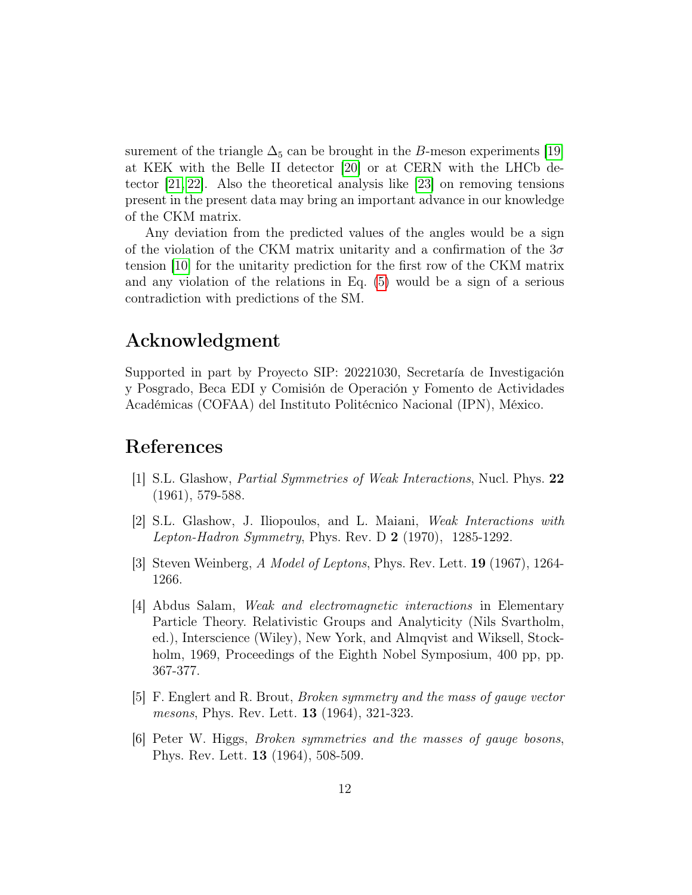surement of the triangle  $\Delta_5$  can be brought in the B-meson experiments [\[19\]](#page-13-1) at KEK with the Belle II detector [\[20\]](#page-13-2) or at CERN with the LHCb detector [\[21,](#page-13-3) [22\]](#page-13-4). Also the theoretical analysis like [\[23\]](#page-13-5) on removing tensions present in the present data may bring an important advance in our knowledge of the CKM matrix.

Any deviation from the predicted values of the angles would be a sign of the violation of the CKM matrix unitarity and a confirmation of the  $3\sigma$ tension [\[10\]](#page-12-7) for the unitarity prediction for the first row of the CKM matrix and any violation of the relations in Eq. [\(5\)](#page-3-3) would be a sign of a serious contradiction with predictions of the SM.

### Acknowledgment

Supported in part by Proyecto SIP: 20221030, Secretaría de Investigación y Posgrado, Beca EDI y Comisión de Operación y Fomento de Actividades Académicas (COFAA) del Instituto Politécnico Nacional (IPN), México.

### References

- <span id="page-11-0"></span>[1] S.L. Glashow, Partial Symmetries of Weak Interactions, Nucl. Phys. 22 (1961), 579-588.
- [2] S.L. Glashow, J. Iliopoulos, and L. Maiani, Weak Interactions with Lepton-Hadron Symmetry, Phys. Rev. D  $2$  (1970), 1285-1292.
- [3] Steven Weinberg, A Model of Leptons, Phys. Rev. Lett. 19 (1967), 1264- 1266.
- [4] Abdus Salam, Weak and electromagnetic interactions in Elementary Particle Theory. Relativistic Groups and Analyticity (Nils Svartholm, ed.), Interscience (Wiley), New York, and Almqvist and Wiksell, Stockholm, 1969, Proceedings of the Eighth Nobel Symposium, 400 pp, pp. 367-377.
- [5] F. Englert and R. Brout, Broken symmetry and the mass of gauge vector mesons, Phys. Rev. Lett. 13 (1964), 321-323.
- [6] Peter W. Higgs, Broken symmetries and the masses of gauge bosons, Phys. Rev. Lett. 13 (1964), 508-509.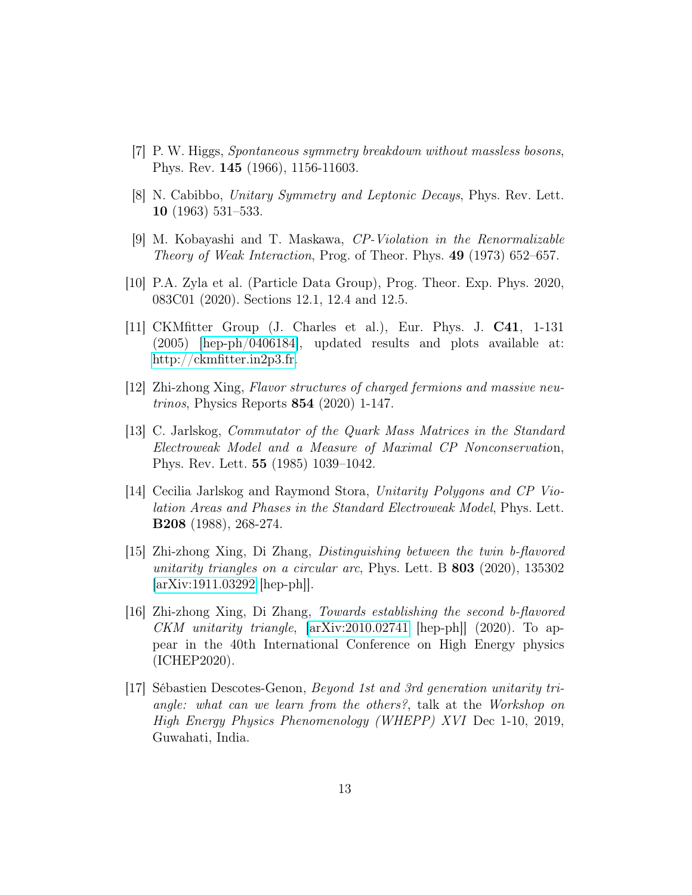- <span id="page-12-0"></span>[7] P. W. Higgs, Spontaneous symmetry breakdown without massless bosons, Phys. Rev. 145 (1966), 1156-11603.
- <span id="page-12-1"></span>[8] N. Cabibbo, Unitary Symmetry and Leptonic Decays, Phys. Rev. Lett. 10 (1963) 531–533.
- [9] M. Kobayashi and T. Maskawa, CP-Violation in the Renormalizable Theory of Weak Interaction, Prog. of Theor. Phys. 49 (1973) 652–657.
- <span id="page-12-7"></span>[10] P.A. Zyla et al. (Particle Data Group), Prog. Theor. Exp. Phys. 2020, 083C01 (2020). Sections 12.1, 12.4 and 12.5.
- [11] CKMfitter Group (J. Charles et al.), Eur. Phys. J. C41, 1-131 (2005) [\[hep-ph/0406184\]](http://arxiv.org/abs/hep-ph/0406184), updated results and plots available at: [http://ckmfitter.in2p3.fr.](http://ckmfitter.in2p3.fr)
- <span id="page-12-2"></span>[12] Zhi-zhong Xing, Flavor structures of charged fermions and massive neutrinos, Physics Reports 854 (2020) 1-147.
- <span id="page-12-3"></span>[13] C. Jarlskog, Commutator of the Quark Mass Matrices in the Standard Electroweak Model and a Measure of Maximal CP Nonconservation, Phys. Rev. Lett. 55 (1985) 1039–1042.
- <span id="page-12-4"></span>[14] Cecilia Jarlskog and Raymond Stora, Unitarity Polygons and CP Violation Areas and Phases in the Standard Electroweak Model, Phys. Lett. B208 (1988), 268-274.
- <span id="page-12-5"></span>[15] Zhi-zhong Xing, Di Zhang, Distinguishing between the twin b-flavored unitarity triangles on a circular arc, Phys. Lett. B 803 (2020), 135302 [\[arXiv:1911.03292](http://arxiv.org/abs/1911.03292) [hep-ph]].
- <span id="page-12-6"></span>[16] Zhi-zhong Xing, Di Zhang, Towards establishing the second b-flavored CKM unitarity triangle, [\[arXiv:2010.02741](http://arxiv.org/abs/2010.02741) [hep-ph]] (2020). To appear in the 40th International Conference on High Energy physics (ICHEP2020).
- <span id="page-12-8"></span>[17] Sébastien Descotes-Genon, Beyond 1st and 3rd generation unitarity triangle: what can we learn from the others?, talk at the Workshop on High Energy Physics Phenomenology (WHEPP) XVI Dec 1-10, 2019, Guwahati, India.